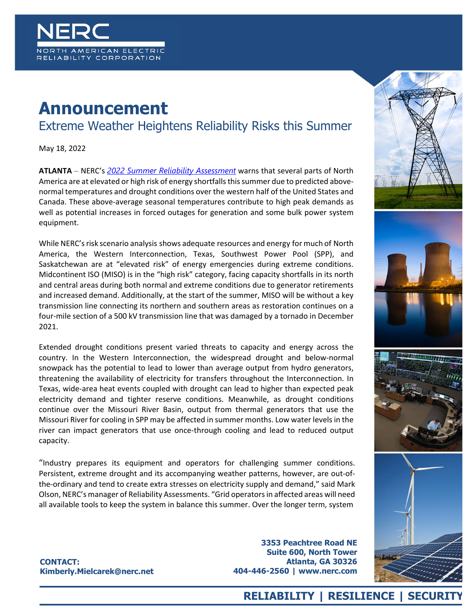

## **Announcement**

## Extreme Weather Heightens Reliability Risks this Summer

May 18, 2022

**ATLANTA** – NERC's *[2022 Summer Reliability Assessment](https://www.nerc.com/pa/RAPA/ra/Reliability%20Assessments%20DL/NERC_SRA_2022.pdf)* warns that several parts of North America are at elevated or high risk of energy shortfalls this summer due to predicted abovenormal temperatures and drought conditions over the western half of the United States and Canada. These above-average seasonal temperatures contribute to high peak demands as well as potential increases in forced outages for generation and some bulk power system equipment.

While NERC's risk scenario analysis shows adequate resources and energy for much of North America, the Western Interconnection, Texas, Southwest Power Pool (SPP), and Saskatchewan are at "elevated risk" of energy emergencies during extreme conditions. Midcontinent ISO (MISO) is in the "high risk" category, facing capacity shortfalls in its north and central areas during both normal and extreme conditions due to generator retirements and increased demand. Additionally, at the start of the summer, MISO will be without a key transmission line connecting its northern and southern areas as restoration continues on a four-mile section of a 500 kV transmission line that was damaged by a tornado in December 2021.

Extended drought conditions present varied threats to capacity and energy across the country. In the Western Interconnection, the widespread drought and below-normal snowpack has the potential to lead to lower than average output from hydro generators, threatening the availability of electricity for transfers throughout the Interconnection. In Texas, wide-area heat events coupled with drought can lead to higher than expected peak electricity demand and tighter reserve conditions. Meanwhile, as drought conditions continue over the Missouri River Basin, output from thermal generators that use the Missouri River for cooling in SPP may be affected in summer months. Low water levels in the river can impact generators that use once-through cooling and lead to reduced output capacity.

"Industry prepares its equipment and operators for challenging summer conditions. Persistent, extreme drought and its accompanying weather patterns, however, are out-ofthe-ordinary and tend to create extra stresses on electricity supply and demand," said Mark Olson, NERC's manager of Reliability Assessments. "Grid operators in affected areas will need all available tools to keep the system in balance this summer. Over the longer term, system









**CONTACT: Kimberly.Mielcarek@nerc.net**

**3353 Peachtree Road NE Suite 600, North Tower Atlanta, GA 30326 404-446-2560 | www.nerc.com**